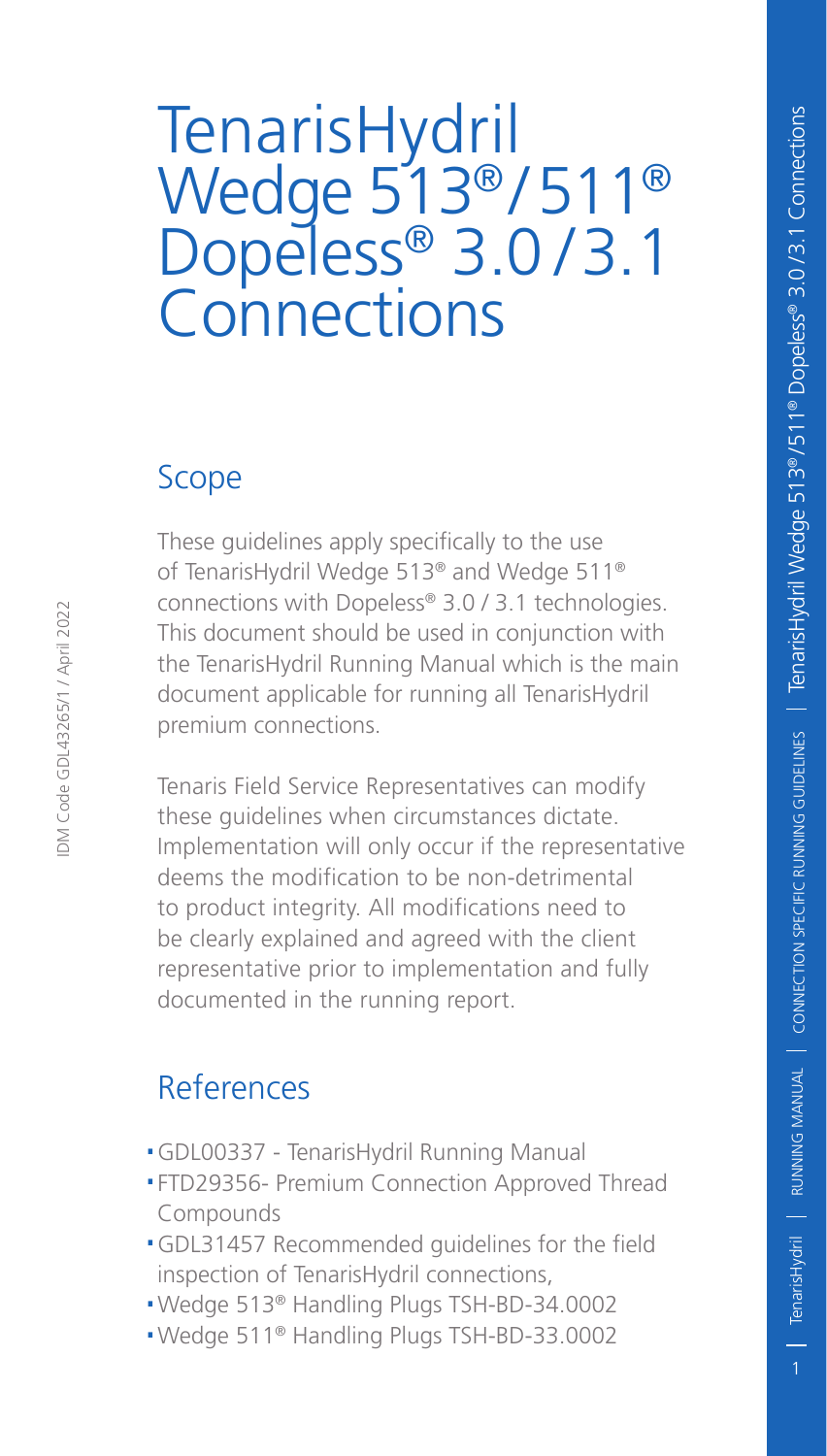# TenarisHydril Wedge 513® / 511® Dopeless® 3.0/3.1 **Connections**

#### Scope

These guidelines apply specifically to the use of TenarisHydril Wedge 513® and Wedge 511® connections with Dopeless® 3.0 / 3.1 technologies. This document should be used in conjunction with the TenarisHydril Running Manual which is the main document applicable for running all TenarisHydril premium connections.

Tenaris Field Service Representatives can modify these guidelines when circumstances dictate. Implementation will only occur if the representative deems the modification to be non-detrimental to product integrity. All modifications need to be clearly explained and agreed with the client representative prior to implementation and fully documented in the running report.

#### **References**

- .GDL00337 TenarisHydril Running Manual
- .FTD29356- Premium Connection Approved Thread Compounds
- .GDL31457 Recommended guidelines for the field inspection of TenarisHydril connections,
- .Wedge 513® Handling Plugs TSH-BD-34.0002
- .Wedge 511® Handling Plugs TSH-BD-33.0002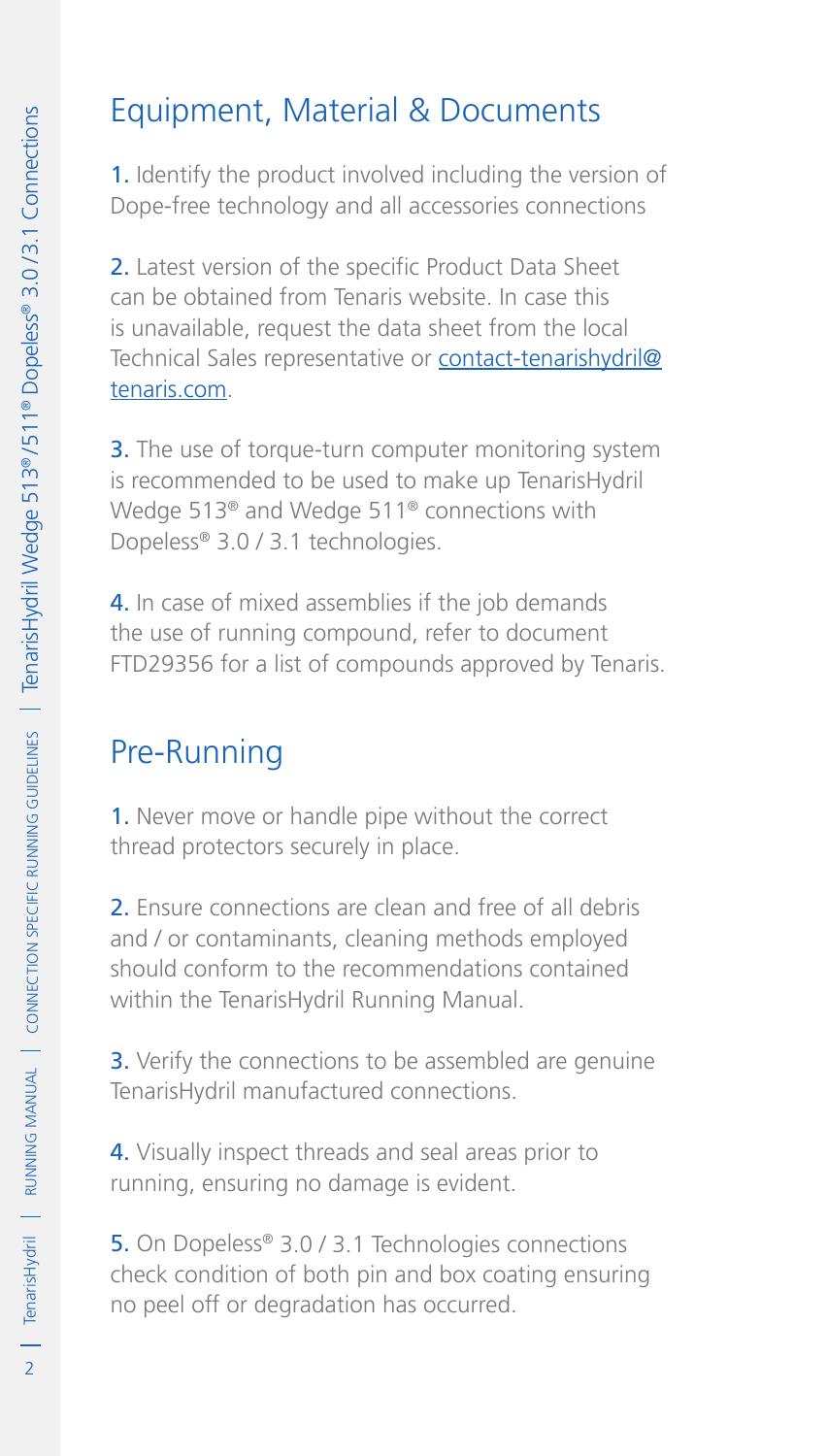### Equipment, Material & Documents

1. Identify the product involved including the version of Dope-free technology and all accessories connections

2. Latest version of the specific Product Data Sheet can be obtained from Tenaris website. In case this is unavailable, request the data sheet from the local Technical Sales representative or contact-tenarishydril@ tenaris.com.

**3.** The use of torque-turn computer monitoring system is recommended to be used to make up TenarisHydril Wedge 513® and Wedge 511® connections with Dopeless® 3.0 / 3.1 technologies.

4. In case of mixed assemblies if the job demands the use of running compound, refer to document FTD29356 for a list of compounds approved by Tenaris.

# Pre-Running

1. Never move or handle pipe without the correct thread protectors securely in place.

2. Ensure connections are clean and free of all debris and / or contaminants, cleaning methods employed should conform to the recommendations contained within the TenarisHydril Running Manual.

**3.** Verify the connections to be assembled are genuine TenarisHydril manufactured connections.

4. Visually inspect threads and seal areas prior to running, ensuring no damage is evident.

5. On Dopeless® 3.0 / 3.1 Technologies connections check condition of both pin and box coating ensuring no peel off or degradation has occurred.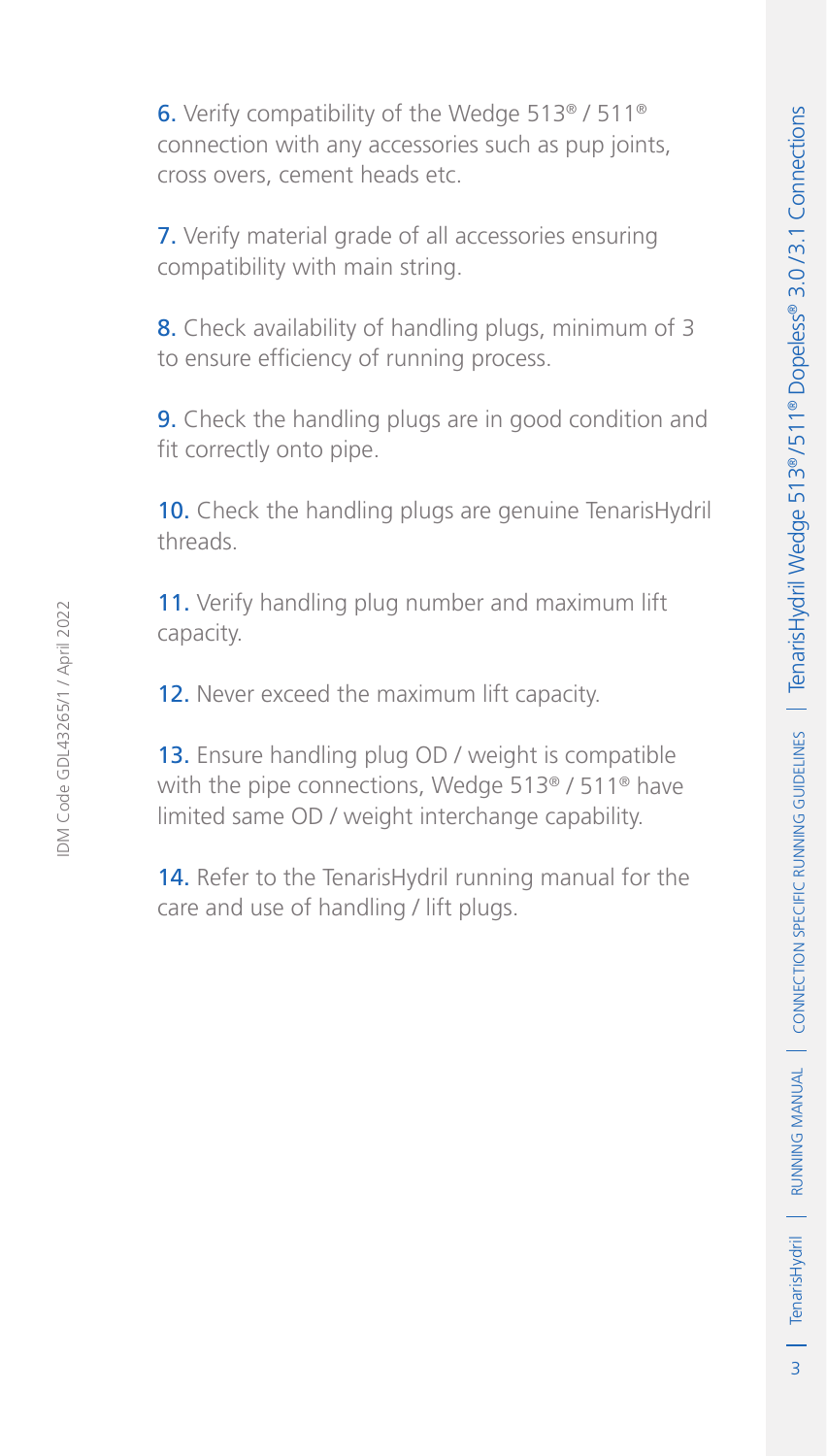6. Verify compatibility of the Wedge 513® / 511® connection with any accessories such as pup joints, cross overs, cement heads etc.

7. Verify material grade of all accessories ensuring compatibility with main string.

8. Check availability of handling plugs, minimum of 3 to ensure efficiency of running process.

9. Check the handling plugs are in good condition and fit correctly onto pipe.

10. Check the handling plugs are genuine TenarisHydril threads.

11. Verify handling plug number and maximum lift capacity.

12. Never exceed the maximum lift capacity.

13. Ensure handling plug OD / weight is compatible with the pipe connections, Wedge 513<sup>®</sup> / 511<sup>®</sup> have limited same OD / weight interchange capability.

14. Refer to the TenarisHydril running manual for the care and use of handling / lift plugs.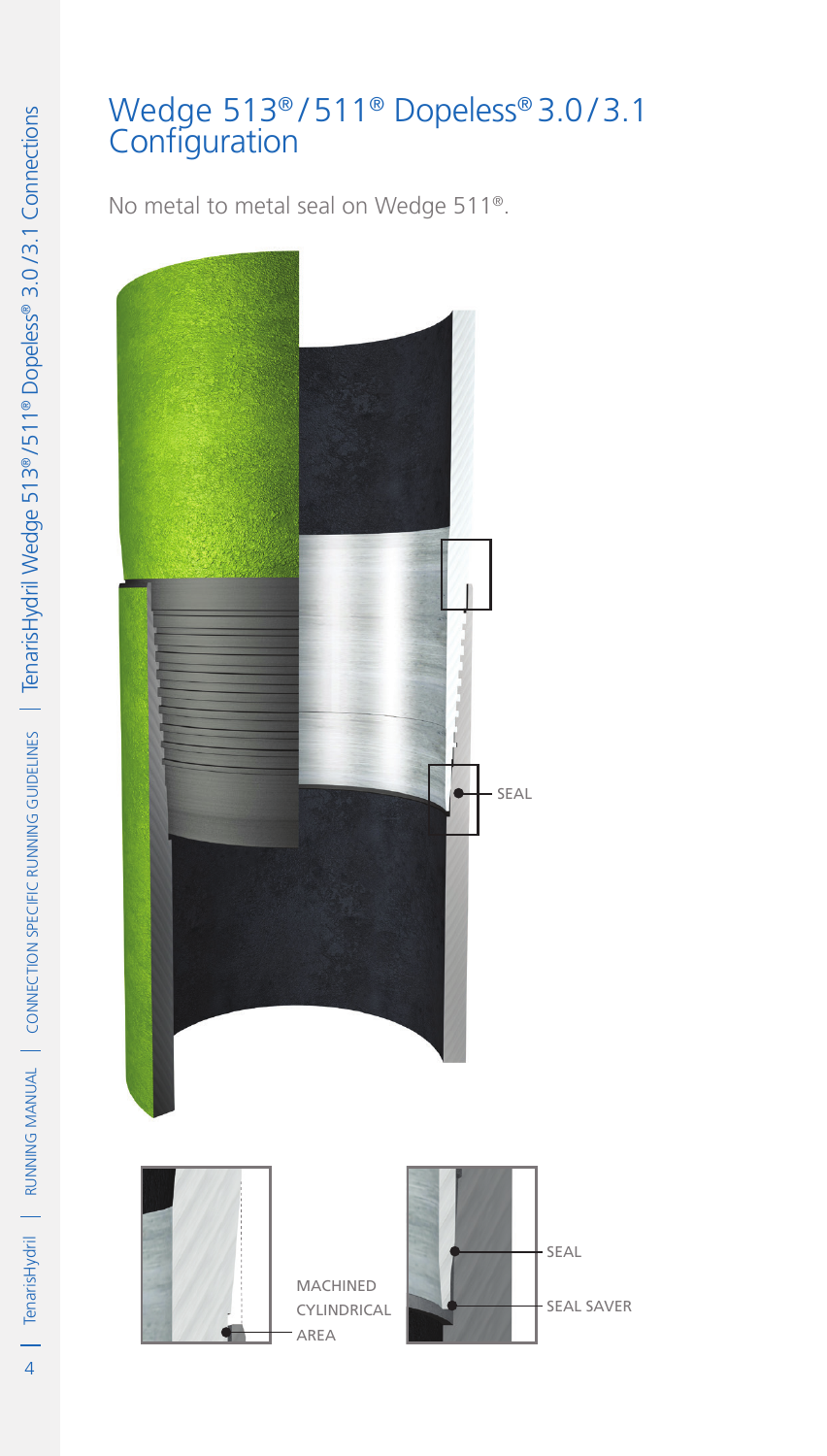#### Wedge 513® / 511® Dopeless® 3.0 / 3.1 Configuration

No metal to metal seal on Wedge 511®.

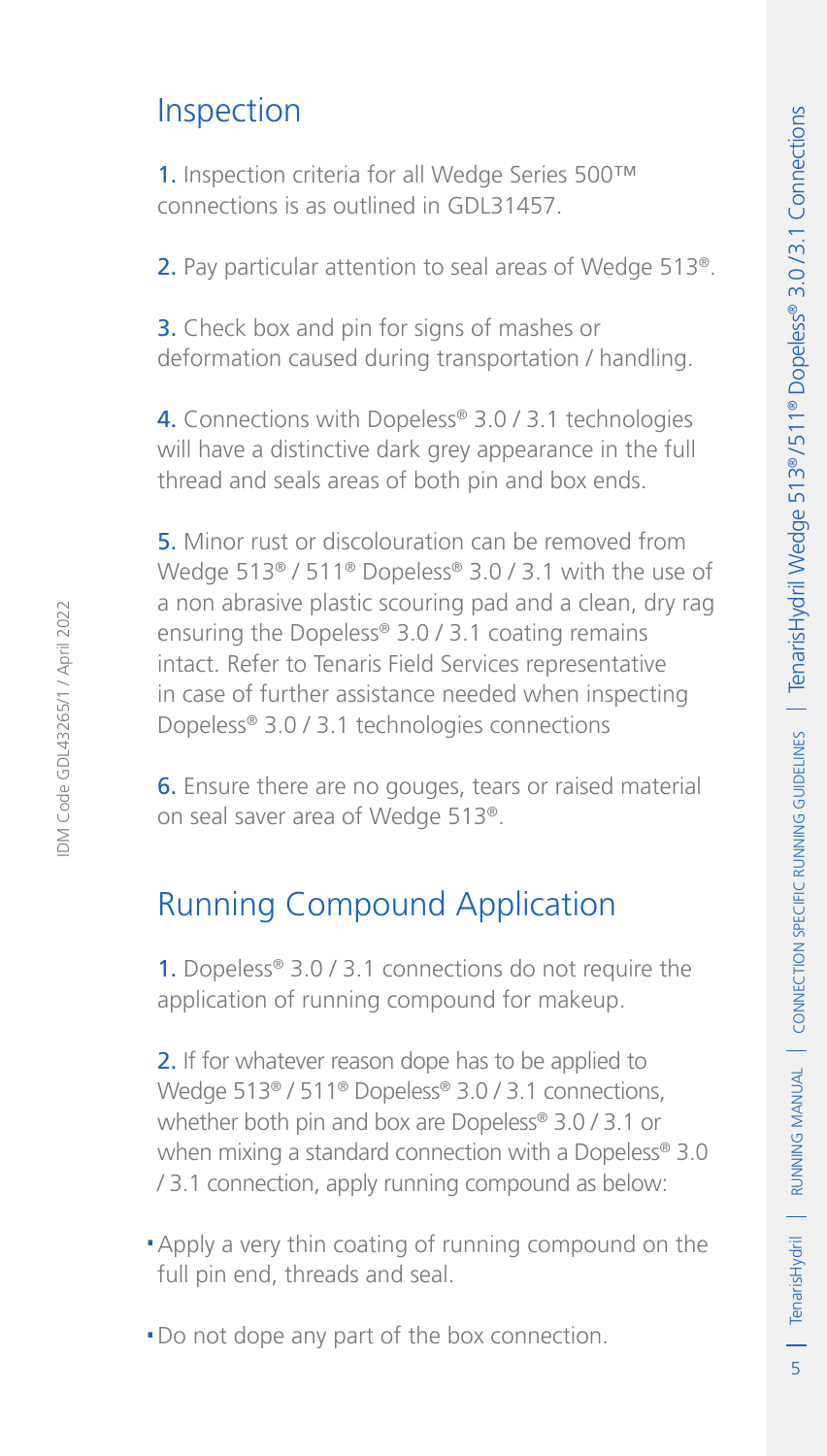#### Inspection

1. Inspection criteria for all Wedge Series 500™ connections is as outlined in GDL31457.

2. Pay particular attention to seal areas of Wedge 513<sup>®</sup>.

3. Check box and pin for signs of mashes or deformation caused during transportation / handling.

4. Connections with Dopeless® 3.0 / 3.1 technologies will have a distinctive dark grey appearance in the full thread and seals areas of both pin and box ends.

5. Minor rust or discolouration can be removed from Wedge 513<sup>®</sup> / 511<sup>®</sup> Dopeless<sup>®</sup> 3.0 / 3.1 with the use of a non abrasive plastic scouring pad and a clean, dry rag ensuring the Dopeless® 3.0 / 3.1 coating remains intact. Refer to Tenaris Field Services representative in case of further assistance needed when inspecting Dopeless® 3.0 / 3.1 technologies connections

6. Ensure there are no gouges, tears or raised material on seal saver area of Wedge 513®.

#### Running Compound Application

1. Dopeless® 3.0 / 3.1 connections do not require the application of running compound for makeup.

2. If for whatever reason dope has to be applied to Wedge 513<sup>®</sup> / 511<sup>®</sup> Dopeless<sup>®</sup> 3.0 / 3.1 connections, whether both pin and box are Dopeless® 3.0 / 3.1 or when mixing a standard connection with a Dopeless® 3.0 / 3.1 connection, apply running compound as below:

- .Apply a very thin coating of running compound on the full pin end, threads and seal.
- .Do not dope any part of the box connection.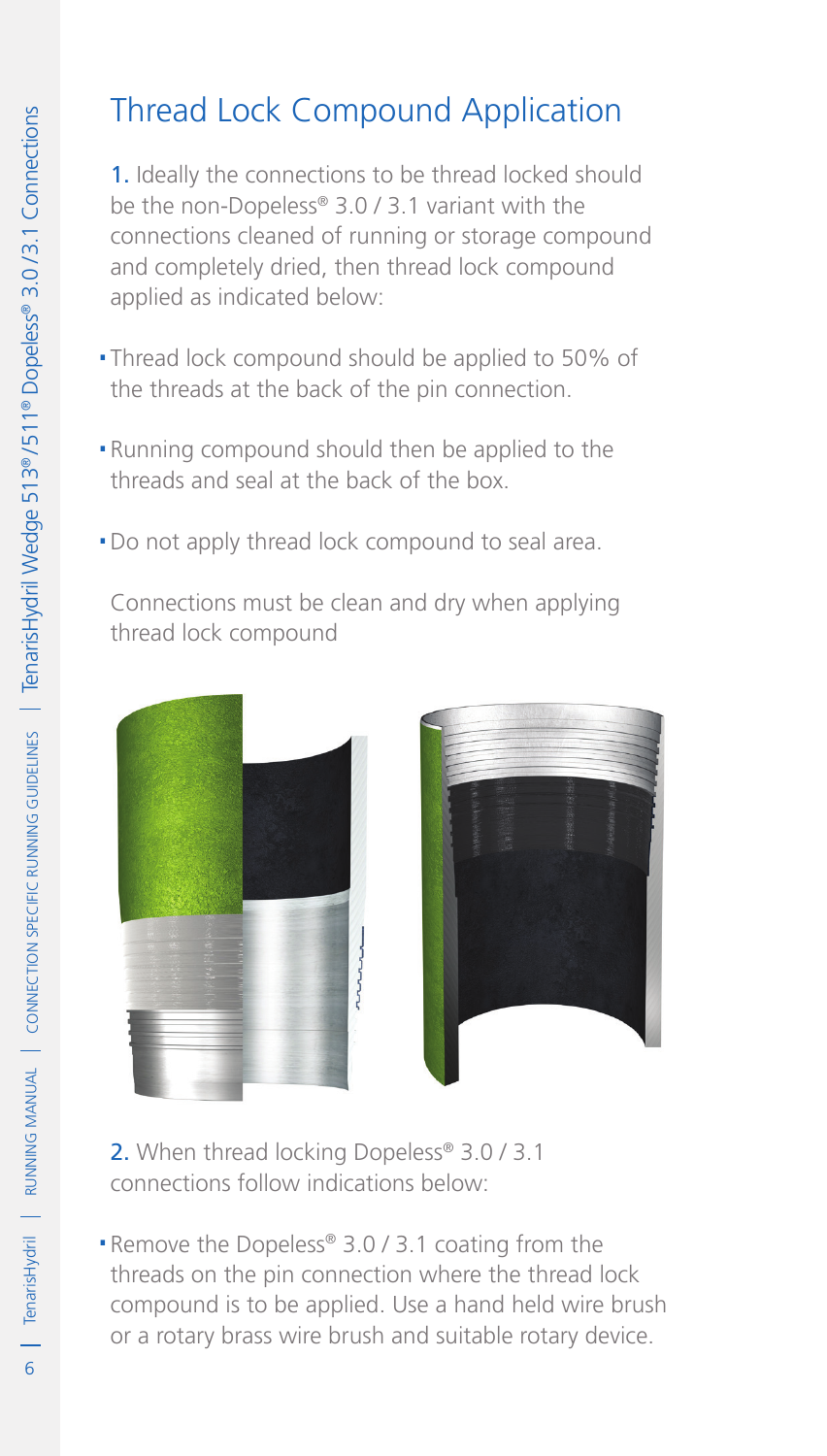## Thread Lock Compound Application

1. Ideally the connections to be thread locked should be the non-Dopeless® 3.0 / 3.1 variant with the connections cleaned of running or storage compound and completely dried, then thread lock compound applied as indicated below:

- .Thread lock compound should be applied to 50% of the threads at the back of the pin connection.
- .Running compound should then be applied to the threads and seal at the back of the box.
- . Do not apply thread lock compound to seal area.

Connections must be clean and dry when applying thread lock compound



- 2. When thread locking Dopeless® 3.0 / 3.1 connections follow indications below:
- ■Remove the Dopeless® 3.0 / 3.1 coating from the threads on the pin connection where the thread lock compound is to be applied. Use a hand held wire brush or a rotary brass wire brush and suitable rotary device.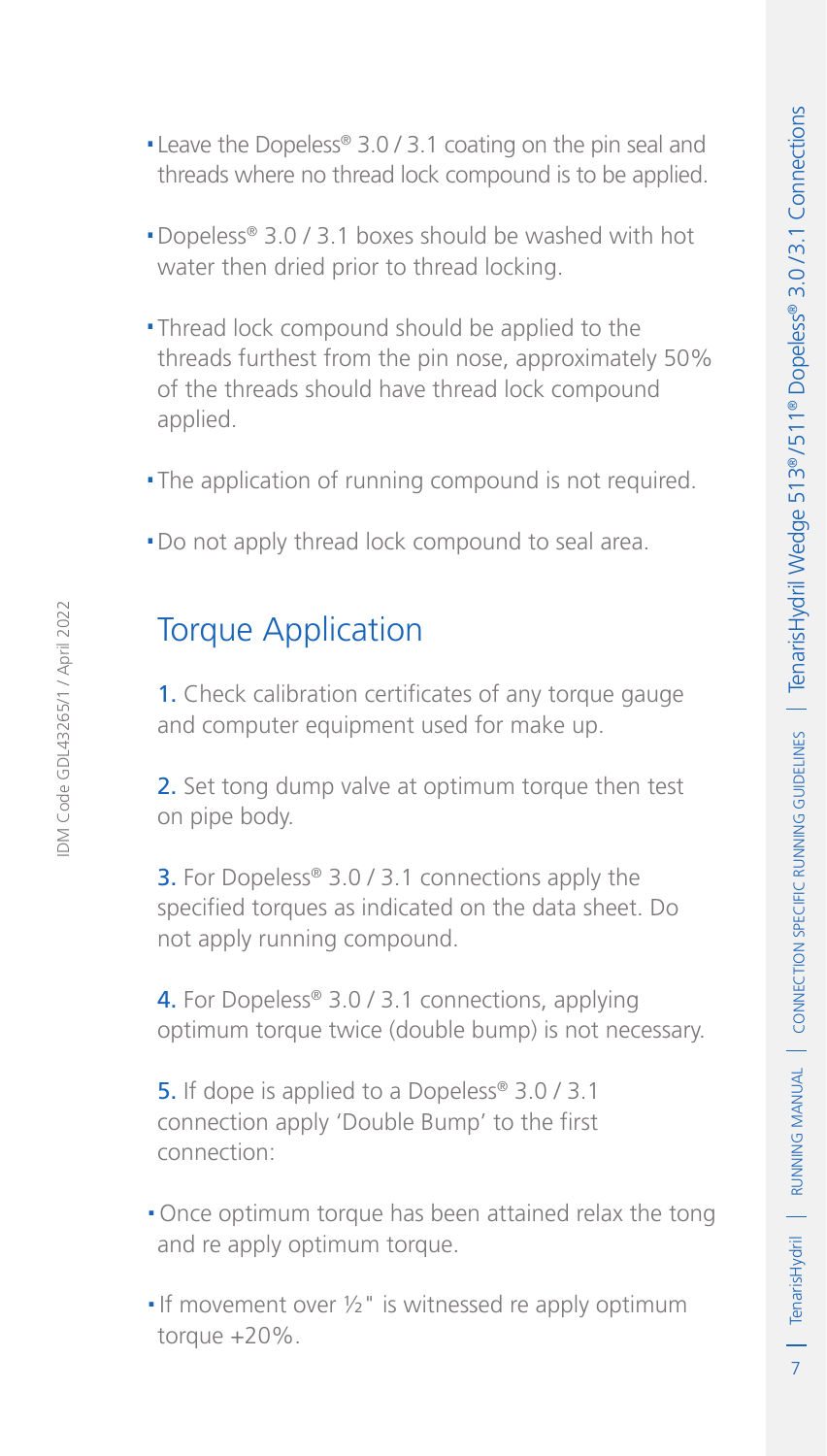- .Leave the Dopeless® 3.0 / 3.1 coating on the pin seal and threads where no thread lock compound is to be applied.
- .Dopeless® 3.0 / 3.1 boxes should be washed with hot water then dried prior to thread locking.
- .Thread lock compound should be applied to the threads furthest from the pin nose, approximately 50% of the threads should have thread lock compound applied.
- .The application of running compound is not required.
- . Do not apply thread lock compound to seal area.

## Torque Application

1. Check calibration certificates of any torque gauge and computer equipment used for make up.

2. Set tong dump valve at optimum torque then test on pipe body.

**3.** For Dopeless<sup>®</sup> 3.0 / 3.1 connections apply the specified torques as indicated on the data sheet. Do not apply running compound.

4. For Dopeless® 3.0 / 3.1 connections, applying optimum torque twice (double bump) is not necessary.

5. If dope is applied to a Dopeless<sup>®</sup> 3.0 / 3.1 connection apply 'Double Bump' to the first connection:

- .Once optimum torque has been attained relax the tong and re apply optimum torque.
- If movement over  $\frac{1}{2}$ " is witnessed re apply optimum torque +20%.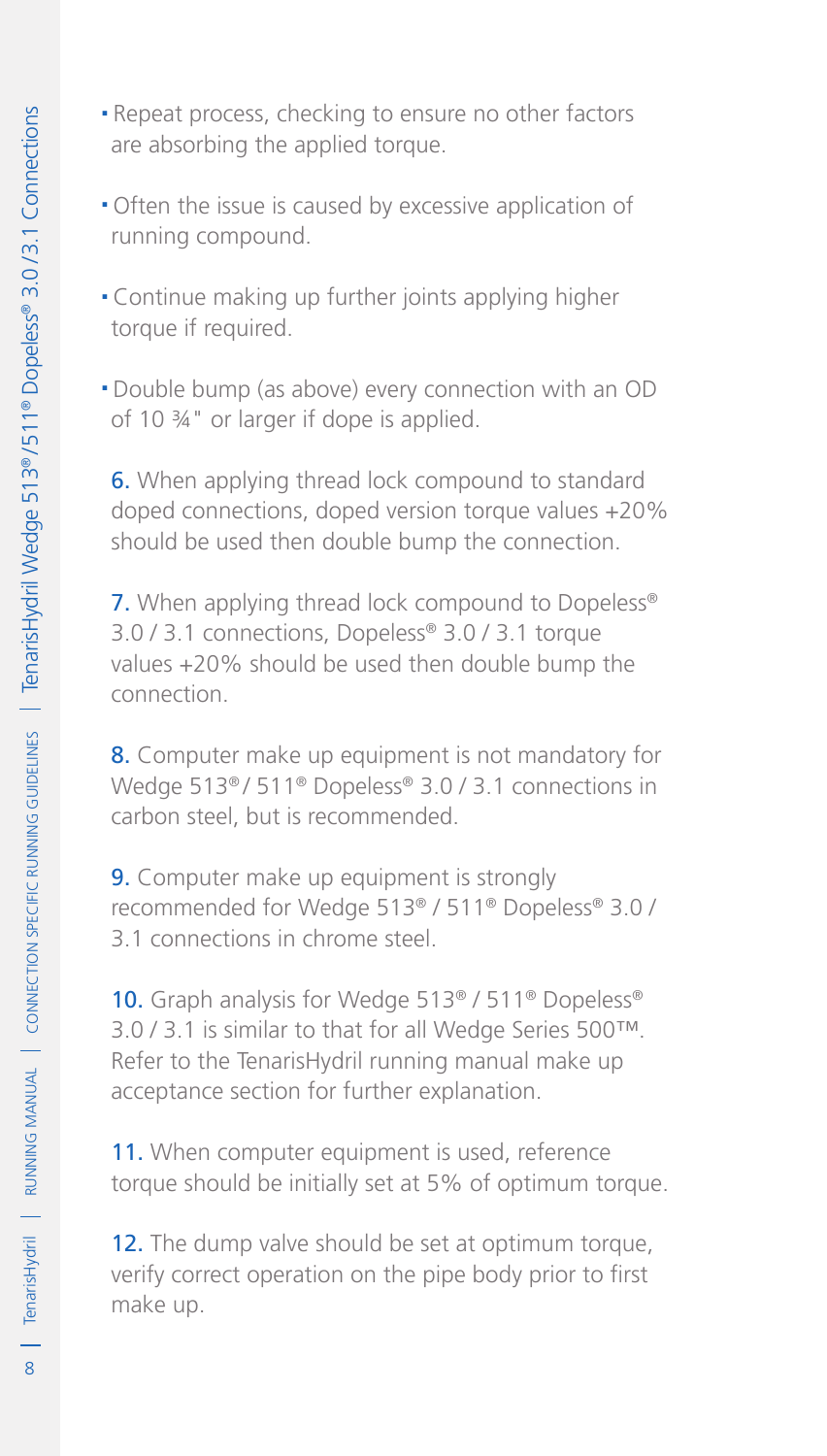- .Repeat process, checking to ensure no other factors are absorbing the applied torque.
- .Often the issue is caused by excessive application of running compound.
- .Continue making up further joints applying higher torque if required.
- .Double bump (as above) every connection with an OD of 10 ¾" or larger if dope is applied.

6. When applying thread lock compound to standard doped connections, doped version torque values +20% should be used then double bump the connection.

7. When applying thread lock compound to Dopeless<sup>®</sup> 3.0 / 3.1 connections, Dopeless® 3.0 / 3.1 torque values +20% should be used then double bump the connection.

8. Computer make up equipment is not mandatory for Wedge 513<sup>®</sup> / 511<sup>®</sup> Dopeless<sup>®</sup> 3.0 / 3.1 connections in carbon steel, but is recommended.

9. Computer make up equipment is strongly recommended for Wedge 513® / 511® Dopeless® 3.0 / 3.1 connections in chrome steel.

10. Graph analysis for Wedge 513<sup>®</sup> / 511<sup>®</sup> Dopeless<sup>®</sup> 3.0 / 3.1 is similar to that for all Wedge Series 500™. Refer to the TenarisHydril running manual make up acceptance section for further explanation.

11. When computer equipment is used, reference torque should be initially set at 5% of optimum torque.

12. The dump valve should be set at optimum torque, verify correct operation on the pipe body prior to first make up.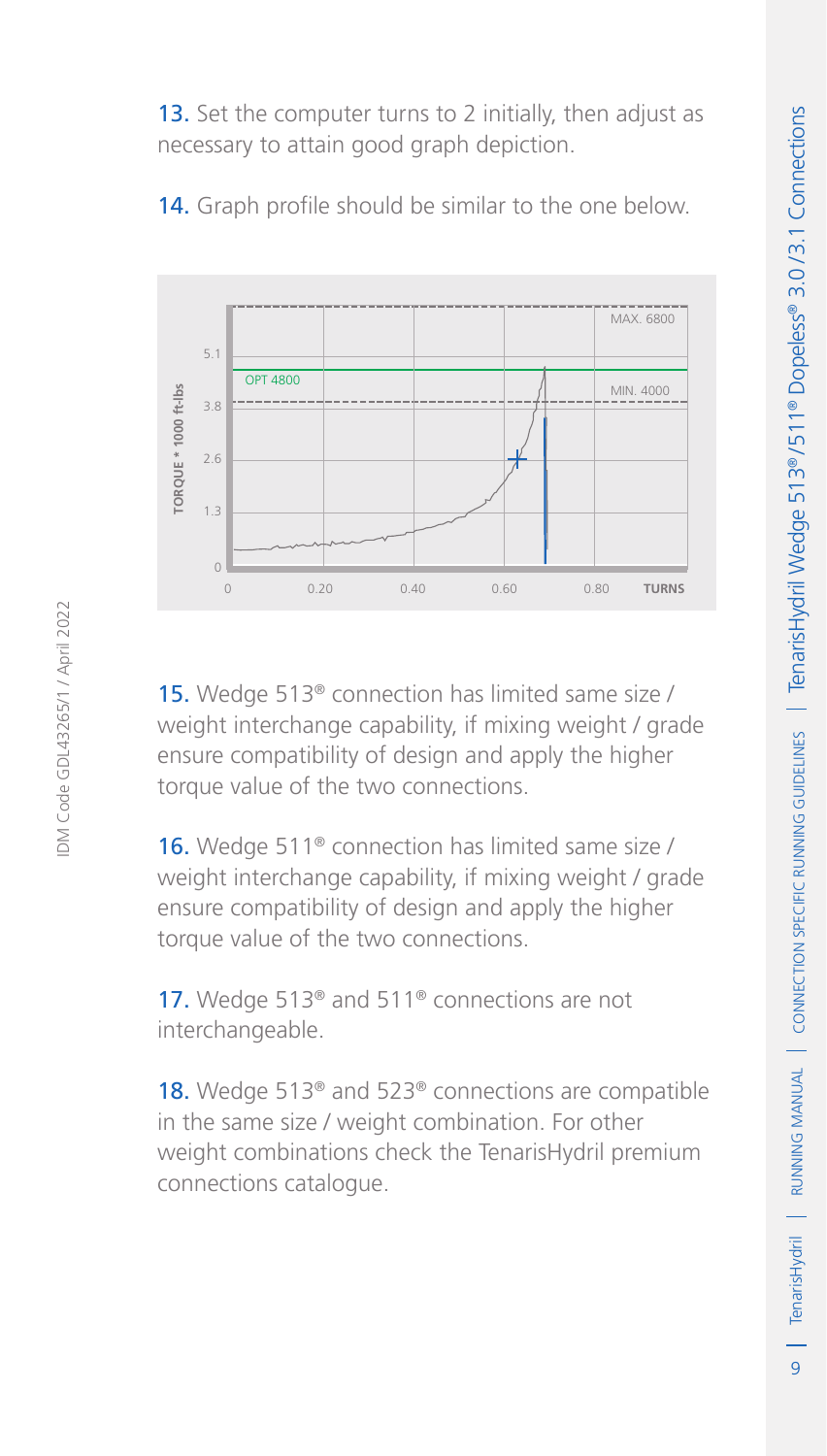13. Set the computer turns to 2 initially, then adjust as necessary to attain good graph depiction.



14. Graph profile should be similar to the one below.

15. Wedge 513® connection has limited same size / weight interchange capability, if mixing weight / grade ensure compatibility of design and apply the higher torque value of the two connections.

16. Wedge 511<sup>®</sup> connection has limited same size / weight interchange capability, if mixing weight / grade ensure compatibility of design and apply the higher torque value of the two connections.

17. Wedge 513<sup>®</sup> and 511<sup>®</sup> connections are not interchangeable.

18. Wedge 513<sup>®</sup> and 523<sup>®</sup> connections are compatible in the same size / weight combination. For other weight combinations check the TenarisHydril premium connections catalogue.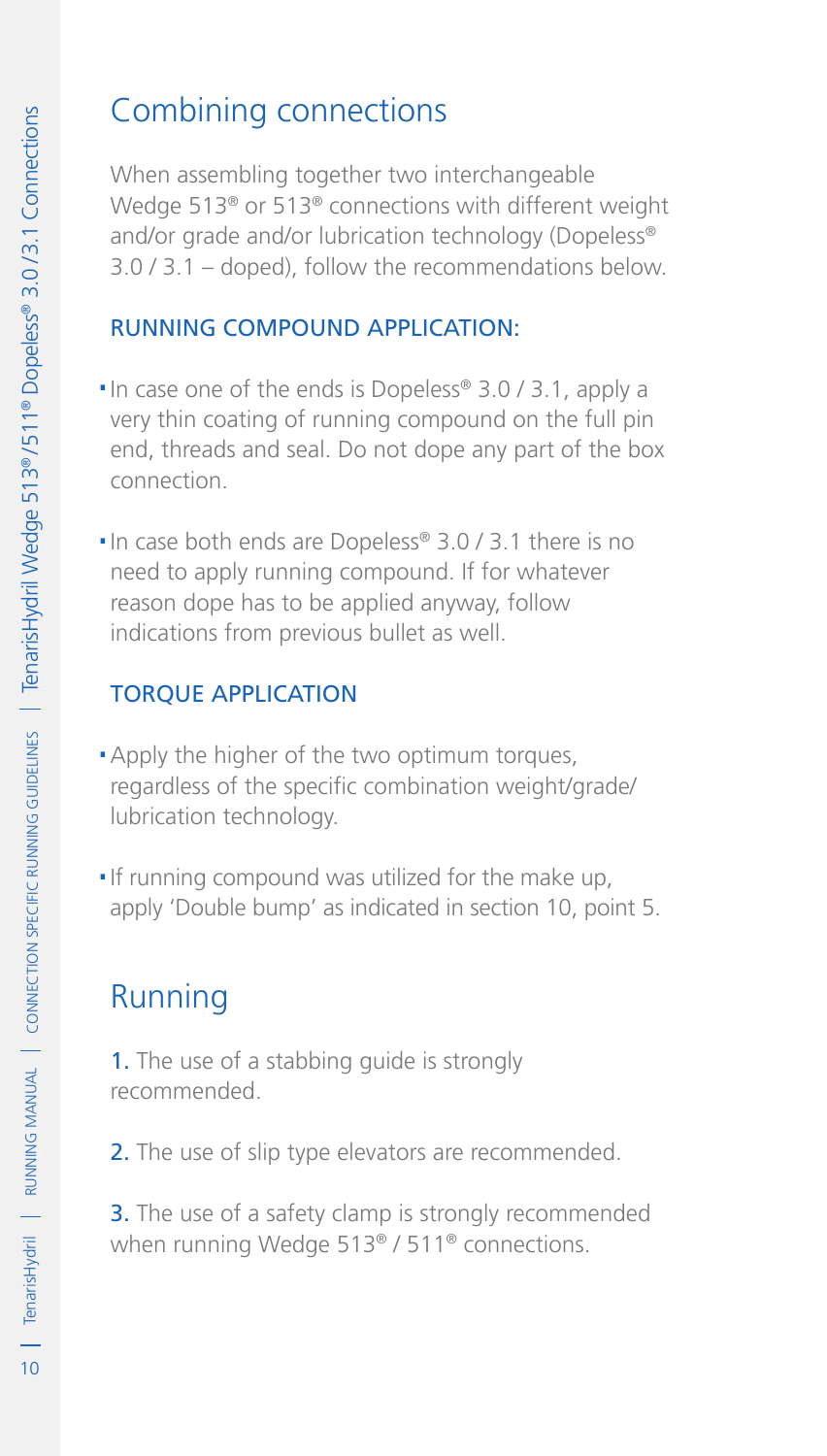## Combining connections

When assembling together two interchangeable Wedge 513® or 513® connections with different weight and/or grade and/or lubrication technology (Dopeless® 3.0 / 3.1 – doped), follow the recommendations below.

#### Running compound application:

- ■In case one of the ends is Dopeless® 3.0 / 3.1, apply a very thin coating of running compound on the full pin end, threads and seal. Do not dope any part of the box connection.
- ■In case both ends are Dopeless® 3.0 / 3.1 there is no need to apply running compound. If for whatever reason dope has to be applied anyway, follow indications from previous bullet as well.

#### Torque application

- **Apply the higher of the two optimum torques,** regardless of the specific combination weight/grade/ lubrication technology.
- .If running compound was utilized for the make up, apply 'Double bump' as indicated in section 10, point 5.

# Running

1. The use of a stabbing quide is strongly recommended.

2. The use of slip type elevators are recommended.

**3.** The use of a safety clamp is strongly recommended when running Wedge 513® / 511® connections.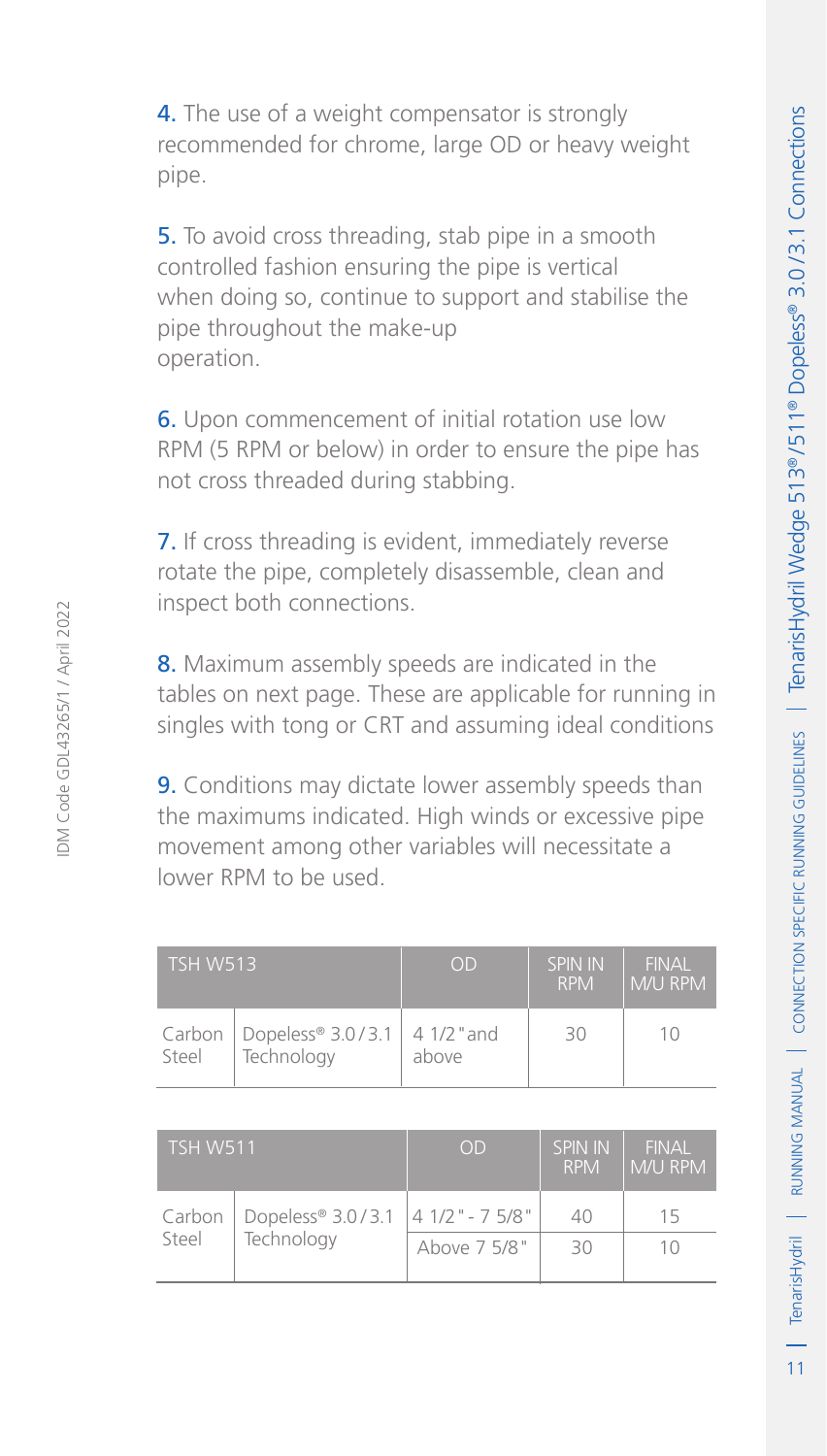4. The use of a weight compensator is strongly recommended for chrome, large OD or heavy weight pipe.

**5.** To avoid cross threading, stab pipe in a smooth controlled fashion ensuring the pipe is vertical when doing so, continue to support and stabilise the pipe throughout the make-up operation.

6. Upon commencement of initial rotation use low RPM (5 RPM or below) in order to ensure the pipe has not cross threaded during stabbing.

7. If cross threading is evident, immediately reverse rotate the pipe, completely disassemble, clean and inspect both connections.

8. Maximum assembly speeds are indicated in the tables on next page. These are applicable for running in singles with tong or CRT and assuming ideal conditions

**9.** Conditions may dictate lower assembly speeds than the maximums indicated. High winds or excessive pipe movement among other variables will necessitate a lower RPM to be used.

| <b>TSH W513</b> |                                                        | <b>OD</b> | SPIN IN<br><b>RPM</b> | <b>FINAL</b><br>l M/U RPM |
|-----------------|--------------------------------------------------------|-----------|-----------------------|---------------------------|
| Steel           | Carbon   Dopeless® 3.0/3.1   4 1/2 " and<br>Technology | above     | 30                    | 10                        |

| <b>TSH W511</b> |                   | OD                | SPIN IN<br><b>RPM</b> | <b>FINAL</b><br>M/U RPM |
|-----------------|-------------------|-------------------|-----------------------|-------------------------|
| Carbon          | Dopeless® 3.0/3.1 | $141/2$ " - 75/8" | 40                    | 15                      |
| Steel           | Technology        | Above 7 5/8"      | $30^{\circ}$          | $10^{-}$                |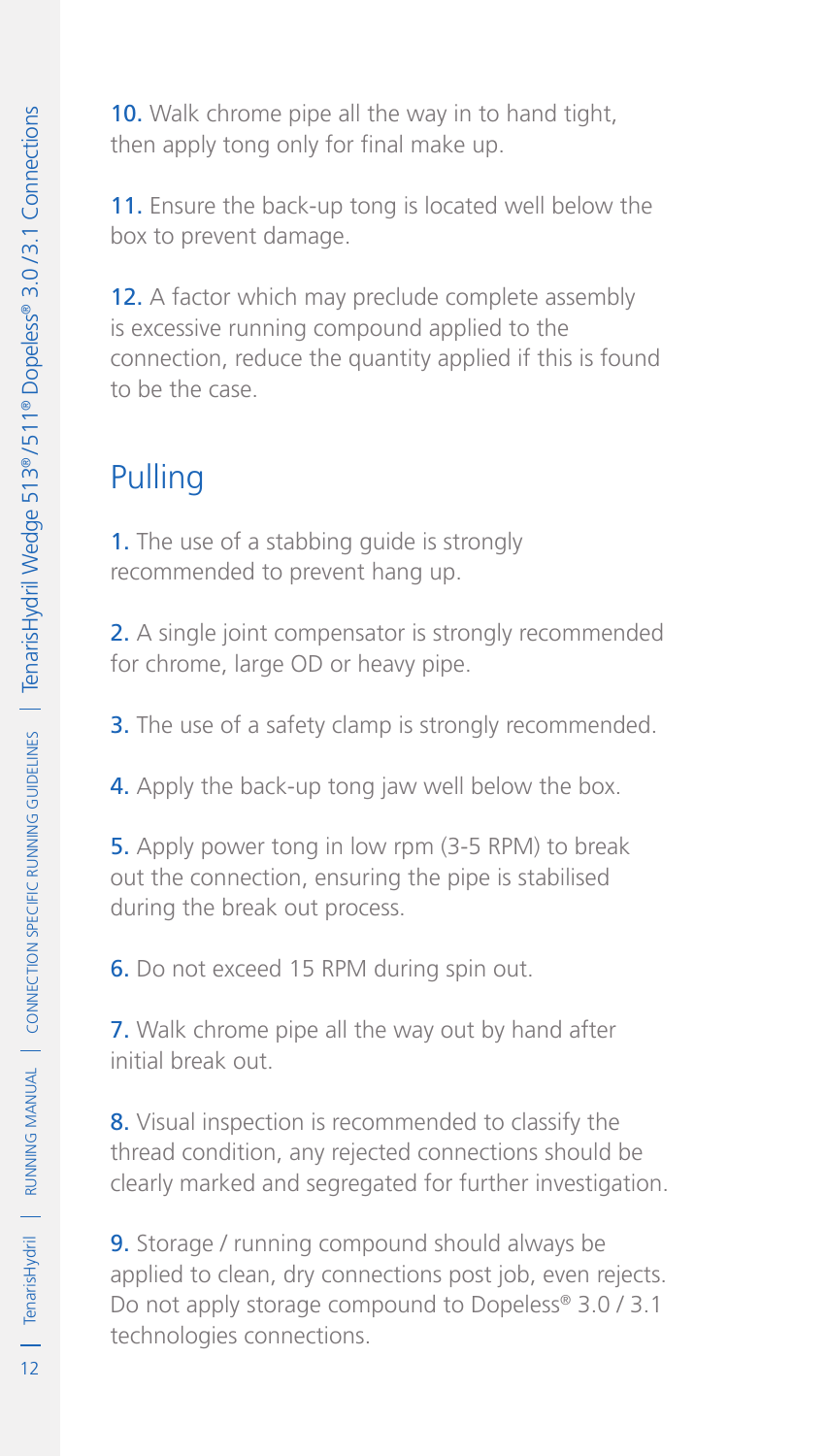10. Walk chrome pipe all the way in to hand tight, then apply tong only for final make up.

11. Ensure the back-up tong is located well below the box to prevent damage.

12. A factor which may preclude complete assembly is excessive running compound applied to the connection, reduce the quantity applied if this is found to be the case.

# Pulling

1. The use of a stabbing guide is strongly recommended to prevent hang up.

2. A single joint compensator is strongly recommended for chrome, large OD or heavy pipe.

**3.** The use of a safety clamp is strongly recommended.

4. Apply the back-up tong jaw well below the box.

5. Apply power tong in low rpm (3-5 RPM) to break out the connection, ensuring the pipe is stabilised during the break out process.

6. Do not exceed 15 RPM during spin out.

7. Walk chrome pipe all the way out by hand after initial break out.

8. Visual inspection is recommended to classify the thread condition, any rejected connections should be clearly marked and segregated for further investigation.

9. Storage / running compound should always be applied to clean, dry connections post job, even rejects. Do not apply storage compound to Dopeless® 3.0 / 3.1 technologies connections.